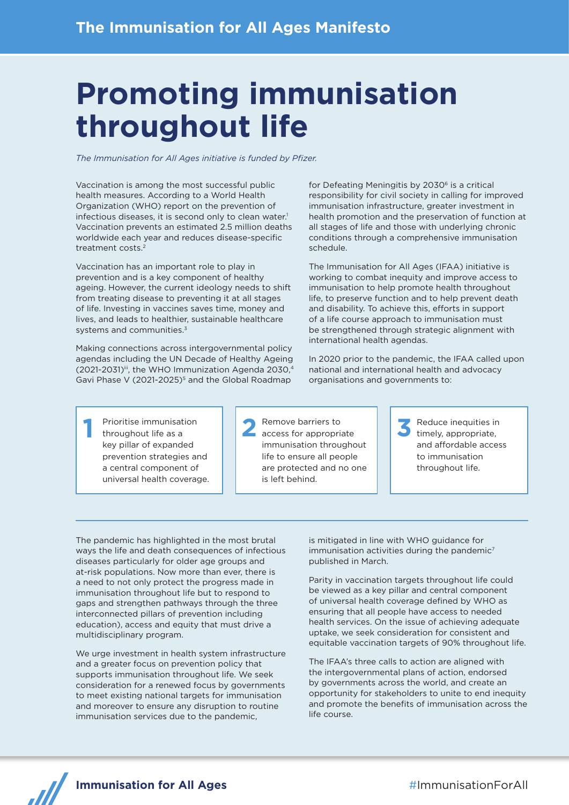# **Promoting immunisation throughout life**

*The Immunisation for All Ages initiative is funded by Pfizer.*

Vaccination is among the most successful public health measures. According to a World Health Organization (WHO) report on the prevention of infectious diseases, it is second only to clean water.<sup>1</sup> Vaccination prevents an estimated 2.5 million deaths worldwide each year and reduces disease-specific treatment costs.2

Vaccination has an important role to play in prevention and is a key component of healthy ageing. However, the current ideology needs to shift from treating disease to preventing it at all stages of life. Investing in vaccines saves time, money and lives, and leads to healthier, sustainable healthcare systems and communities.<sup>3</sup>

Making connections across intergovernmental policy agendas including the UN Decade of Healthy Ageing (2021-2031)iii, the WHO Immunization Agenda 2030,4 Gavi Phase V (2021-2025)<sup>5</sup> and the Global Roadmap

for Defeating Meningitis by 2030<sup>6</sup> is a critical responsibility for civil society in calling for improved immunisation infrastructure, greater investment in health promotion and the preservation of function at all stages of life and those with underlying chronic conditions through a comprehensive immunisation schedule.

The Immunisation for All Ages (IFAA) initiative is working to combat inequity and improve access to immunisation to help promote health throughout life, to preserve function and to help prevent death and disability. To achieve this, efforts in support of a life course approach to immunisation must be strengthened through strategic alignment with international health agendas.

In 2020 prior to the pandemic, the IFAA called upon national and international health and advocacy organisations and governments to:

**1** Prioritise immunisation throughout life as a key pillar of expanded prevention strategies and a central component of universal health coverage. **2** Remove barriers to access for appropriate immunisation throughout life to ensure all people are protected and no one is left behind.

**3** Reduce inequities in timely, appropriate, and affordable access to immunisation throughout life.

The pandemic has highlighted in the most brutal ways the life and death consequences of infectious diseases particularly for older age groups and at-risk populations. Now more than ever, there is a need to not only protect the progress made in immunisation throughout life but to respond to gaps and strengthen pathways through the three interconnected pillars of prevention including education), access and equity that must drive a multidisciplinary program.

We urge investment in health system infrastructure and a greater focus on prevention policy that supports immunisation throughout life. We seek consideration for a renewed focus by governments to meet existing national targets for immunisation and moreover to ensure any disruption to routine immunisation services due to the pandemic,

is mitigated in line with WHO guidance for  $immunisation$  activities during the pandemic<sup>7</sup> published in March.

Parity in vaccination targets throughout life could be viewed as a key pillar and central component of universal health coverage defined by WHO as ensuring that all people have access to needed health services. On the issue of achieving adequate uptake, we seek consideration for consistent and equitable vaccination targets of 90% throughout life.

The IFAA's three calls to action are aligned with the intergovernmental plans of action, endorsed by governments across the world, and create an opportunity for stakeholders to unite to end inequity and promote the benefits of immunisation across the life course.

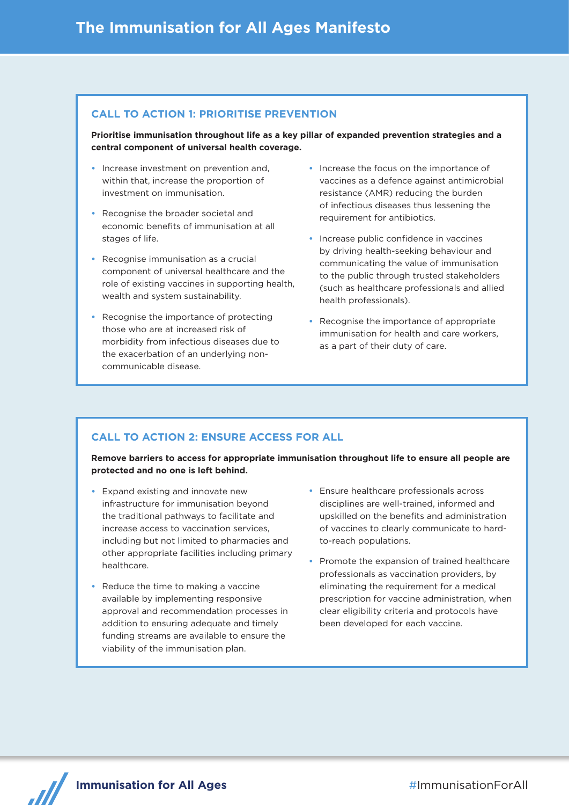## **CALL TO ACTION 1: PRIORITISE PREVENTION**

**Prioritise immunisation throughout life as a key pillar of expanded prevention strategies and a central component of universal health coverage.** 

- **•** Increase investment on prevention and, within that, increase the proportion of investment on immunisation.
- **•** Recognise the broader societal and economic benefits of immunisation at all stages of life.
- **•** Recognise immunisation as a crucial component of universal healthcare and the role of existing vaccines in supporting health, wealth and system sustainability.
- **•** Recognise the importance of protecting those who are at increased risk of morbidity from infectious diseases due to the exacerbation of an underlying noncommunicable disease.
- **•** Increase the focus on the importance of vaccines as a defence against antimicrobial resistance (AMR) reducing the burden of infectious diseases thus lessening the requirement for antibiotics.
- **•** Increase public confidence in vaccines by driving health-seeking behaviour and communicating the value of immunisation to the public through trusted stakeholders (such as healthcare professionals and allied health professionals).
- **•** Recognise the importance of appropriate immunisation for health and care workers, as a part of their duty of care.

# **CALL TO ACTION 2: ENSURE ACCESS FOR ALL**

**Remove barriers to access for appropriate immunisation throughout life to ensure all people are protected and no one is left behind.**

- **•** Expand existing and innovate new infrastructure for immunisation beyond the traditional pathways to facilitate and increase access to vaccination services, including but not limited to pharmacies and other appropriate facilities including primary healthcare.
- **•** Reduce the time to making a vaccine available by implementing responsive approval and recommendation processes in addition to ensuring adequate and timely funding streams are available to ensure the viability of the immunisation plan.
- **•** Ensure healthcare professionals across disciplines are well-trained, informed and upskilled on the benefits and administration of vaccines to clearly communicate to hardto-reach populations.
- **•** Promote the expansion of trained healthcare professionals as vaccination providers, by eliminating the requirement for a medical prescription for vaccine administration, when clear eligibility criteria and protocols have been developed for each vaccine.